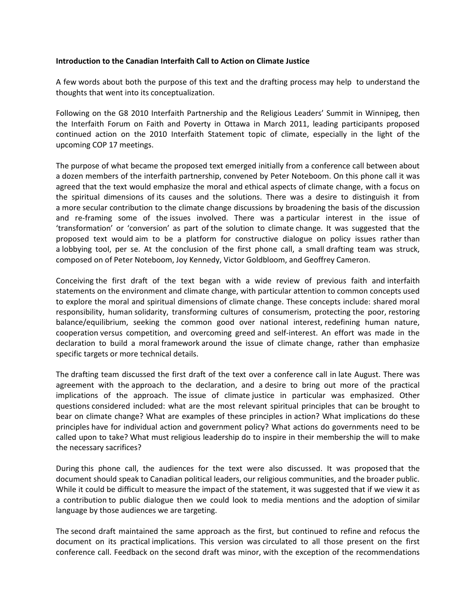## **Introduction to the Canadian Interfaith Call to Action on Climate Justice**

A few words about both the purpose of this text and the drafting process may help to understand the thoughts that went into its conceptualization.

Following on the G8 2010 Interfaith Partnership and the Religious Leaders' Summit in Winnipeg, then the Interfaith Forum on Faith and Poverty in Ottawa in March 2011, leading participants proposed continued action on the 2010 Interfaith Statement topic of climate, especially in the light of the upcoming COP 17 meetings.

The purpose of what became the proposed text emerged initially from a conference call between about a dozen members of the interfaith partnership, convened by Peter Noteboom. On this phone call it was agreed that the text would emphasize the moral and ethical aspects of climate change, with a focus on the spiritual dimensions of its causes and the solutions. There was a desire to distinguish it from a more secular contribution to the climate change discussions by broadening the basis of the discussion and re-framing some of the issues involved. There was a particular interest in the issue of 'transformation' or 'conversion' as part of the solution to climate change. It was suggested that the proposed text would aim to be a platform for constructive dialogue on policy issues rather than a lobbying tool, per se. At the conclusion of the first phone call, a small drafting team was struck, composed on of Peter Noteboom, Joy Kennedy, Victor Goldbloom, and Geoffrey Cameron.

Conceiving the first draft of the text began with a wide review of previous faith and interfaith statements on the environment and climate change, with particular attention to common concepts used to explore the moral and spiritual dimensions of climate change. These concepts include: shared moral responsibility, human solidarity, transforming cultures of consumerism, protecting the poor, restoring balance/equilibrium, seeking the common good over national interest, redefining human nature, cooperation versus competition, and overcoming greed and self-interest. An effort was made in the declaration to build a moral framework around the issue of climate change, rather than emphasize specific targets or more technical details.

The drafting team discussed the first draft of the text over a conference call in late August. There was agreement with the approach to the declaration, and a desire to bring out more of the practical implications of the approach. The issue of climate justice in particular was emphasized. Other questions considered included: what are the most relevant spiritual principles that can be brought to bear on climate change? What are examples of these principles in action? What implications do these principles have for individual action and government policy? What actions do governments need to be called upon to take? What must religious leadership do to inspire in their membership the will to make the necessary sacrifices?

During this phone call, the audiences for the text were also discussed. It was proposed that the document should speak to Canadian political leaders, our religious communities, and the broader public. While it could be difficult to measure the impact of the statement, it was suggested that if we view it as a contribution to public dialogue then we could look to media mentions and the adoption of similar language by those audiences we are targeting.

The second draft maintained the same approach as the first, but continued to refine and refocus the document on its practical implications. This version was circulated to all those present on the first conference call. Feedback on the second draft was minor, with the exception of the recommendations